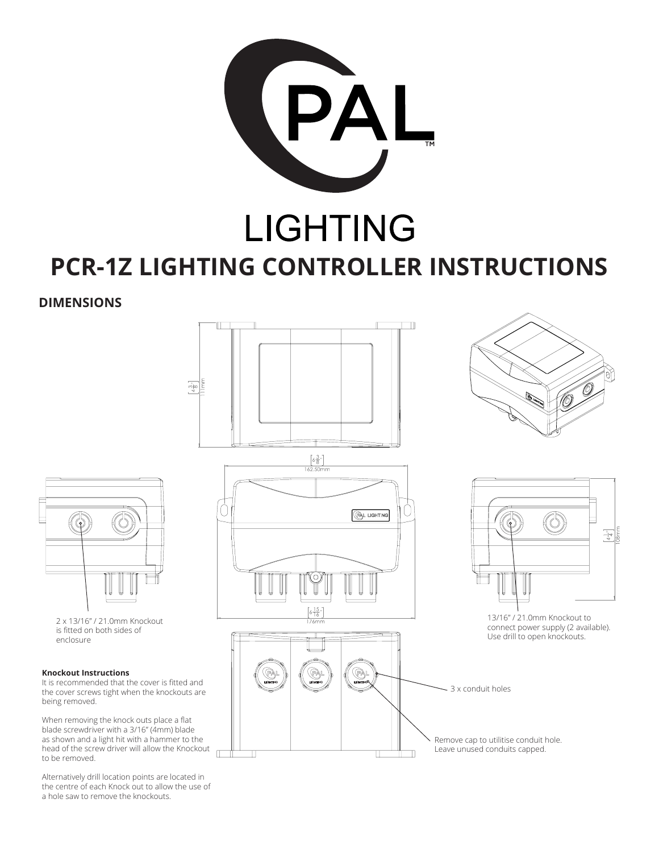

# **LIGHTING PCR-1Z LIGHTING CONTROLLER INSTRUCTIONS**

**DIMENSIONS**



 $\frac{3}{4}$ 

2 x 13/16" / 21.0mm Knockout is fitted on both sides of enclosure

### **Knockout Instructions**

It is recommended that the cover is fitted and the cover screws tight when the knockouts are being removed.

When removing the knock outs place a flat blade screwdriver with a 3/16" (4mm) blade as shown and a light hit with a hammer to the head of the screw driver will allow the Knockout to be removed.

Alternatively drill location points are located in the centre of each Knock out to allow the use of a hole saw to remove the knockouts.







13/16" / 21.0mm Knockout to connect power supply (2 available). Use drill to open knockouts.

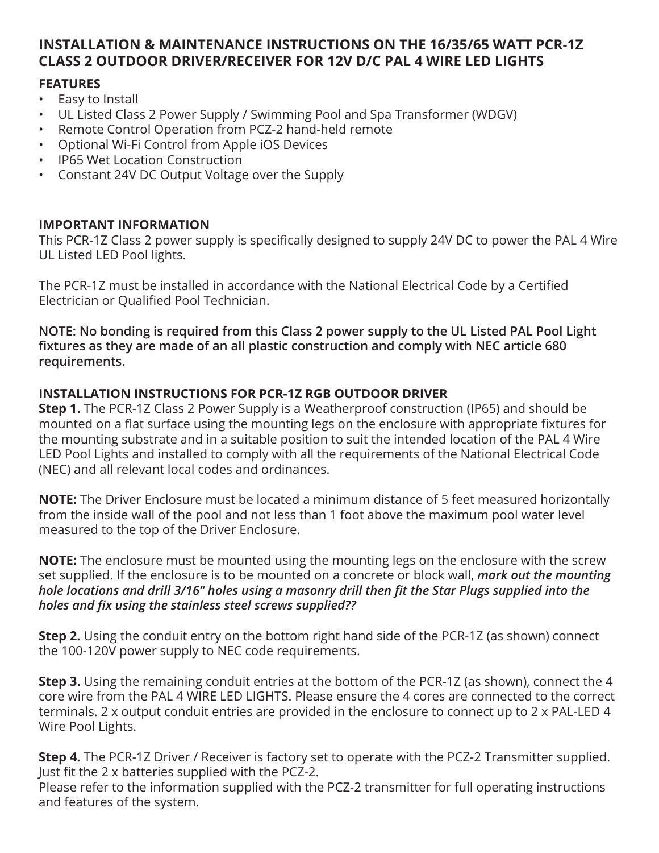# **INSTALLATION & MAINTENANCE INSTRUCTIONS ON THE 16/35/65 WATT PCR-1Z CLASS 2 OUTDOOR DRIVER/RECEIVER FOR 12V D/C PAL 4 WIRE LED LIGHTS**

### **FEATURES**

- Easy to Install
- UL Listed Class 2 Power Supply / Swimming Pool and Spa Transformer (WDGV)
- Remote Control Operation from PCZ-2 hand-held remote
- Optional Wi-Fi Control from Apple iOS Devices
- IP65 Wet Location Construction
- Constant 24V DC Output Voltage over the Supply

### **IMPORTANT INFORMATION**

This PCR-1Z Class 2 power supply is specifically designed to supply 24V DC to power the PAL 4 Wire UL Listed LED Pool lights.

The PCR-1Z must be installed in accordance with the National Electrical Code by a Certified Electrician or Qualified Pool Technician.

**NOTE: No bonding is required from this Class 2 power supply to the UL Listed PAL Pool Light fixtures as they are made of an all plastic construction and comply with NEC article 680 requirements.**

### **INSTALLATION INSTRUCTIONS FOR PCR-1Z RGB OUTDOOR DRIVER**

**Step 1.** The PCR-1Z Class 2 Power Supply is a Weatherproof construction (IP65) and should be mounted on a flat surface using the mounting legs on the enclosure with appropriate fixtures for the mounting substrate and in a suitable position to suit the intended location of the PAL 4 Wire LED Pool Lights and installed to comply with all the requirements of the National Electrical Code (NEC) and all relevant local codes and ordinances.

**NOTE:** The Driver Enclosure must be located a minimum distance of 5 feet measured horizontally from the inside wall of the pool and not less than 1 foot above the maximum pool water level measured to the top of the Driver Enclosure.

**NOTE:** The enclosure must be mounted using the mounting legs on the enclosure with the screw set supplied. If the enclosure is to be mounted on a concrete or block wall, *mark out the mounting hole locations and drill 3/16" holes using a masonry drill then fit the Star Plugs supplied into the holes and fix using the stainless steel screws supplied??*

**Step 2.** Using the conduit entry on the bottom right hand side of the PCR-1Z (as shown) connect the 100-120V power supply to NEC code requirements.

**Step 3.** Using the remaining conduit entries at the bottom of the PCR-1Z (as shown), connect the 4 core wire from the PAL 4 WIRE LED LIGHTS. Please ensure the 4 cores are connected to the correct terminals. 2 x output conduit entries are provided in the enclosure to connect up to 2 x PAL-LED 4 Wire Pool Lights.

**Step 4.** The PCR-1Z Driver / Receiver is factory set to operate with the PCZ-2 Transmitter supplied. Just fit the 2 x batteries supplied with the PCZ-2.

Please refer to the information supplied with the PCZ-2 transmitter for full operating instructions and features of the system.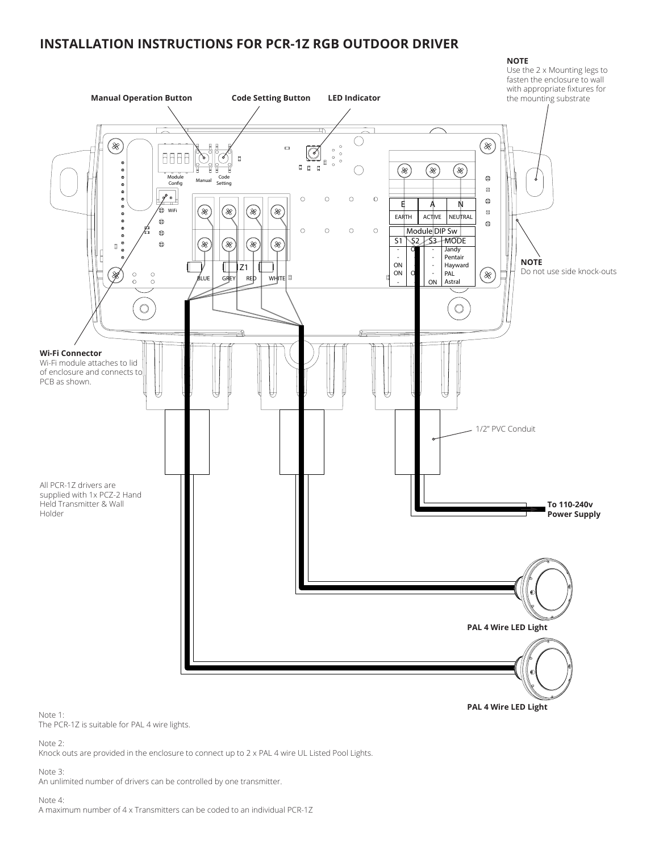### **INSTALLATION INSTRUCTIONS FOR PCR-1Z RGB OUTDOOR DRIVER**

#### **NOTE** Use the 2 x Mounting legs to fasten the enclosure to wall with appropriate fixtures for **Manual Operation Button Code Setting Button LED Indicator** the mounting substrate O E) ⊗  $\circ$  $\blacksquare$  $\circledcirc$  $\circ$ 8888 b ¢  $\overline{a}$ Ō o g  $\overline{a}$ ◯ (\*  $(\divideontimes)$ ⊗)  $\bullet$ Module<br>Config Code etting  $\blacksquare$  $\left| \frac{\partial}{\partial x} \right|$  $\circ$  $\mathbf{o}$  $\circ$  $\circ$  $\bullet$ E A N 6  $(\divideontimes)$ (\*) ⊛  $(\divideontimes)$  $\blacksquare$ WiFi EARTH ACTIVE NEUTRAL  $\bullet$  $\bullet$  $\circ$  $\circ$  $\circ$ Module DIP Sw  $\bullet$ S1 S2 S3 MODE ⊗ ⊗ (% (%  $\mathbf{d}$ Jandy -  $\circ$ - Pentair -<br>On - - **NOTE**  $\mathbb{I}$ Hayward Z1 - - Do not use side knock-outs ON  $(\divideontimes)$ . X PAL  $\circ$  $_{\circ}^{\circ}$  $\circ$ - BLUE GREY RED WHITE **B** ON Astral - -  $\circ$  $\circ$ **Wi-Fi Connector** Wi-Fi module attaches to lid of enclosure and connects to PCB as shown. 1/2" PVC Conduit All PCR-1Z drivers are supplied with 1x PCZ-2 Hand Held Transmitter & Wall **To 110-240v** Holder **Power Supply PAL 4 Wire LED Light**

**PAL 4 Wire LED Light**

Note 1:

The PCR-1Z is suitable for PAL 4 wire lights.

Note 2:

Knock outs are provided in the enclosure to connect up to 2 x PAL 4 wire UL Listed Pool Lights.

Note 3:

An unlimited number of drivers can be controlled by one transmitter.

Note 4:

A maximum number of 4 x Transmitters can be coded to an individual PCR-1Z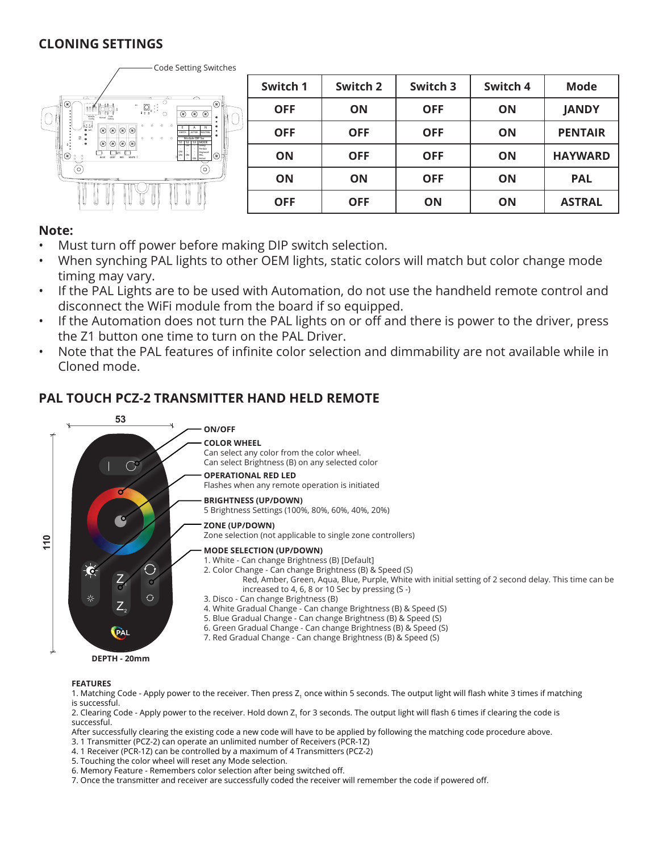### **CLONING SETTINGS**



### **Note:**

- Must turn off power before making DIP switch selection.
- When synching PAL lights to other OEM lights, static colors will match but color change mode timing may vary.
- If the PAL Lights are to be used with Automation, do not use the handheld remote control and disconnect the WiFi module from the board if so equipped.
- If the Automation does not turn the PAL lights on or off and there is power to the driver, press the Z1 button one time to turn on the PAL Driver.
- Note that the PAL features of infinite color selection and dimmability are not available while in Cloned mode.

# **PAL TOUCH PCZ-2 TRANSMITTER HAND HELD REMOTE**



### **FEATURES**

- 1. Matching Code Apply power to the receiver. Then press Z<sub>1</sub> once within 5 seconds. The output light will flash white 3 times if matching is successful.
- 2. Clearing Code Apply power to the receiver. Hold down Z, for 3 seconds. The output light will flash 6 times if clearing the code is successful.

After successfully clearing the existing code a new code will have to be applied by following the matching code procedure above.

- 3. 1 Transmitter (PCZ-2) can operate an unlimited number of Receivers (PCR-1Z)
- 4. 1 Receiver (PCR-1Z) can be controlled by a maximum of 4 Transmitters (PCZ-2)
- 5. Touching the color wheel will reset any Mode selection.
- 6. Memory Feature Remembers color selection after being switched off.
- 7. Once the transmitter and receiver are successfully coded the receiver will remember the code if powered off.